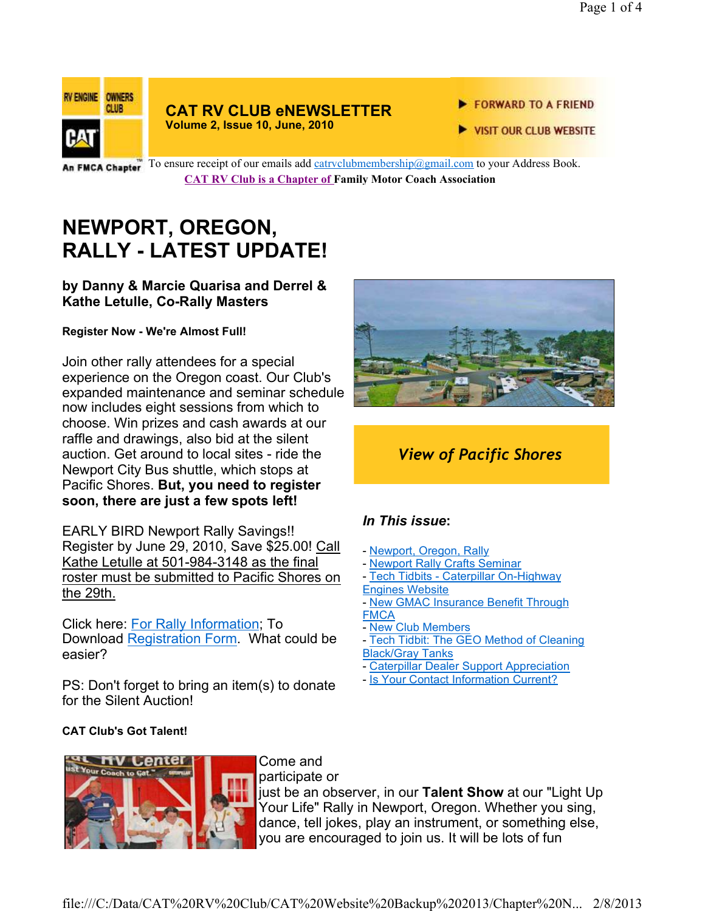

#### **CAT RV CLUB eNEWSLETTER Volume 2, Issue 10, June, 2010**

#### FORWARD TO A FRIEND

VISIT OUR CLUB WEBSITE

An FMCA Chapter To ensure receipt of our emails add catrvclubmembership@gmail.com to your Address Book. **CAT RV Club is a Chapter of Family Motor Coach Association** 

# **NEWPORT, OREGON, RALLY - LATEST UPDATE!**

#### **by Danny & Marcie Quarisa and Derrel & Kathe Letulle, Co-Rally Masters**

**Register Now - We're Almost Full!**

Join other rally attendees for a special experience on the Oregon coast. Our Club's expanded maintenance and seminar schedule now includes eight sessions from which to choose. Win prizes and cash awards at our raffle and drawings, also bid at the silent auction. Get around to local sites - ride the Newport City Bus shuttle, which stops at Pacific Shores. **But, you need to register soon, there are just a few spots left!** 

EARLY BIRD Newport Rally Savings!! Register by June 29, 2010, Save \$25.00! Call Kathe Letulle at 501-984-3148 as the final roster must be submitted to Pacific Shores on the 29th.

Click here: For Rally Information; To Download Registration Form. What could be easier?

PS: Don't forget to bring an item(s) to donate for the Silent Auction!



## *View of Pacific Shores*

## *In This issue***:**

- Newport, Oregon, Rally
- Newport Rally Crafts Seminar
- Tech Tidbits Caterpillar On-Highway Engines Website
- New GMAC Insurance Benefit Through
- **FMCA**
- New Club Members
- Tech Tidbit: The GEO Method of Cleaning Black/Gray Tanks
- Caterpillar Dealer Support Appreciation
- Is Your Contact Information Current?

#### **CAT Club's Got Talent!**



Come and participate or

just be an observer, in our **Talent Show** at our "Light Up Your Life" Rally in Newport, Oregon. Whether you sing, dance, tell jokes, play an instrument, or something else, you are encouraged to join us. It will be lots of fun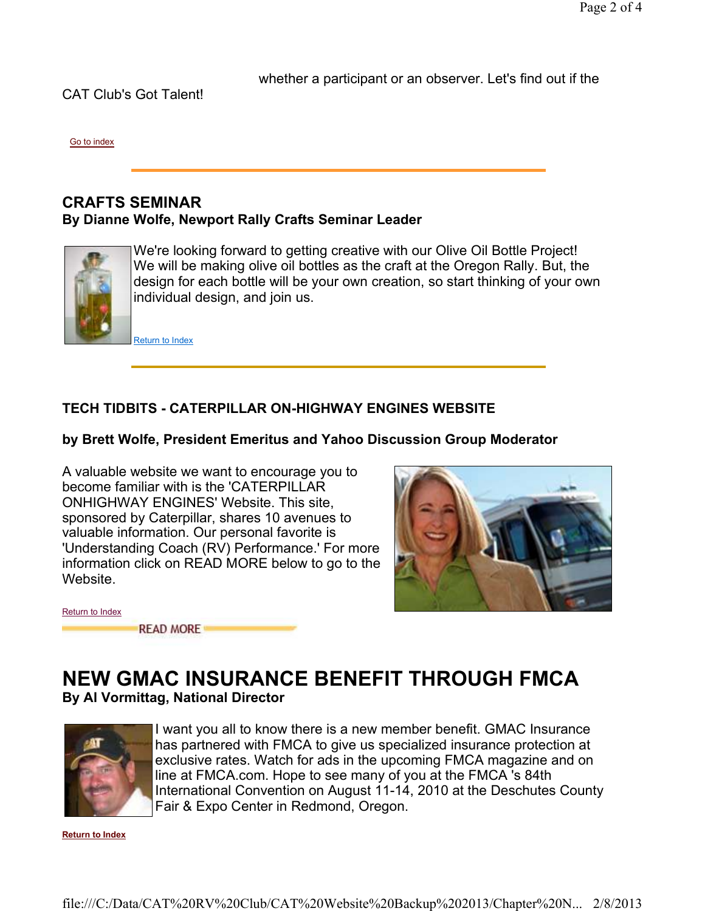CAT Club's Got Talent!

whether a participant or an observer. Let's find out if the

Go to index

#### **CRAFTS SEMINAR By Dianne Wolfe, Newport Rally Crafts Seminar Leader**



We're looking forward to getting creative with our Olive Oil Bottle Project! We will be making olive oil bottles as the craft at the Oregon Rally. But, the design for each bottle will be your own creation, so start thinking of your own individual design, and join us.

Return to Index

#### **TECH TIDBITS - CATERPILLAR ON-HIGHWAY ENGINES WEBSITE**

#### **by Brett Wolfe, President Emeritus and Yahoo Discussion Group Moderator**

A valuable website we want to encourage you to become familiar with is the 'CATERPILLAR ONHIGHWAY ENGINES' Website. This site, sponsored by Caterpillar, shares 10 avenues to valuable information. Our personal favorite is 'Understanding Coach (RV) Performance.' For more information click on READ MORE below to go to the Website.



| Return to Index |                  |  |
|-----------------|------------------|--|
|                 | <b>READ MORE</b> |  |

### **NEW GMAC INSURANCE BENEFIT THROUGH FMCA By Al Vormittag, National Director**



I want you all to know there is a new member benefit. GMAC Insurance has partnered with FMCA to give us specialized insurance protection at exclusive rates. Watch for ads in the upcoming FMCA magazine and on line at FMCA.com. Hope to see many of you at the FMCA 's 84th International Convention on August 11-14, 2010 at the Deschutes County Fair & Expo Center in Redmond, Oregon.

**Return to Index**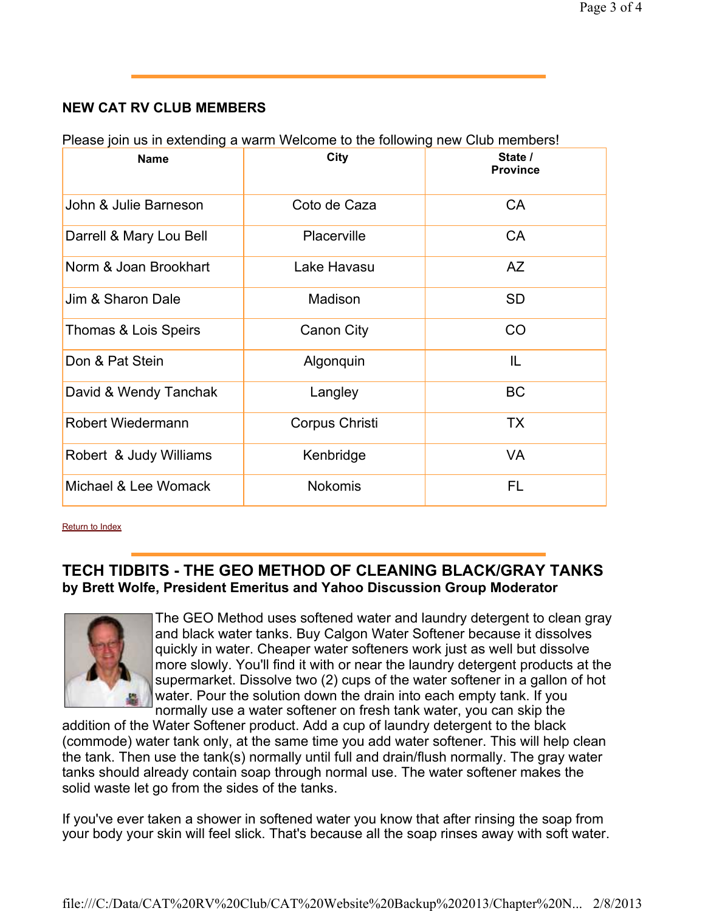#### **NEW CAT RV CLUB MEMBERS**

Please join us in extending a warm Welcome to the following new Club members!

| <b>Name</b>              | City           | State /<br><b>Province</b> |
|--------------------------|----------------|----------------------------|
| John & Julie Barneson    | Coto de Caza   | <b>CA</b>                  |
| Darrell & Mary Lou Bell  | Placerville    | CA                         |
| Norm & Joan Brookhart    | Lake Havasu    | <b>AZ</b>                  |
| Jim & Sharon Dale        | Madison        | <b>SD</b>                  |
| Thomas & Lois Speirs     | Canon City     | <b>CO</b>                  |
| Don & Pat Stein          | Algonquin      | IL                         |
| David & Wendy Tanchak    | Langley        | <b>BC</b>                  |
| <b>Robert Wiedermann</b> | Corpus Christi | <b>TX</b>                  |
| Robert & Judy Williams   | Kenbridge      | VA                         |
| Michael & Lee Womack     | <b>Nokomis</b> | FL                         |

Return to Index

#### **TECH TIDBITS - THE GEO METHOD OF CLEANING BLACK/GRAY TANKS by Brett Wolfe, President Emeritus and Yahoo Discussion Group Moderator**



The GEO Method uses softened water and laundry detergent to clean gray and black water tanks. Buy Calgon Water Softener because it dissolves quickly in water. Cheaper water softeners work just as well but dissolve more slowly. You'll find it with or near the laundry detergent products at the supermarket. Dissolve two (2) cups of the water softener in a gallon of hot water. Pour the solution down the drain into each empty tank. If you normally use a water softener on fresh tank water, you can skip the

addition of the Water Softener product. Add a cup of laundry detergent to the black (commode) water tank only, at the same time you add water softener. This will help clean the tank. Then use the tank(s) normally until full and drain/flush normally. The gray water tanks should already contain soap through normal use. The water softener makes the solid waste let go from the sides of the tanks.

If you've ever taken a shower in softened water you know that after rinsing the soap from your body your skin will feel slick. That's because all the soap rinses away with soft water.